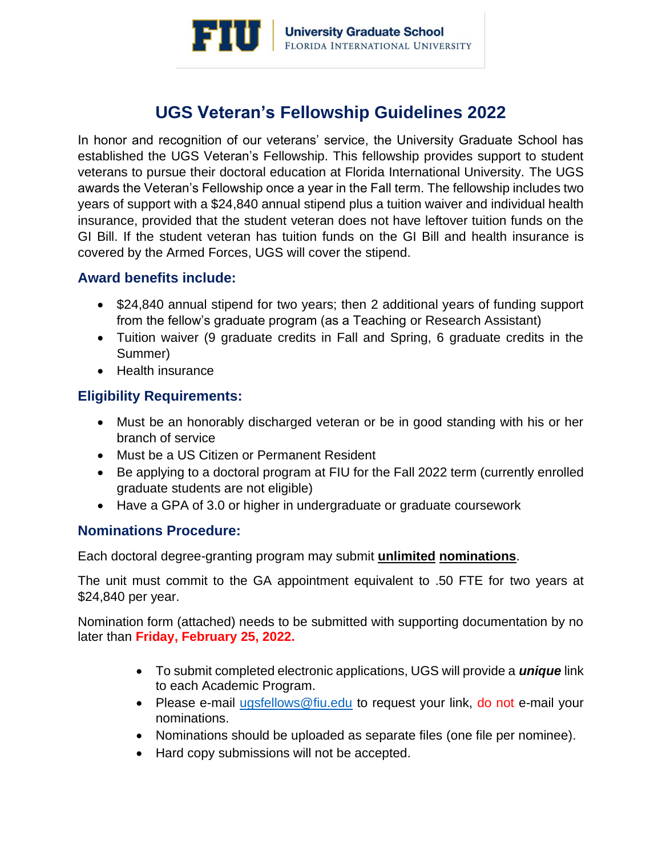

# **UGS Veteran's Fellowship Guidelines 2022**

In honor and recognition of our veterans' service, the University Graduate School has established the UGS Veteran's Fellowship. This fellowship provides support to student veterans to pursue their doctoral education at Florida International University. The UGS awards the Veteran's Fellowship once a year in the Fall term. The fellowship includes two years of support with a \$24,840 annual stipend plus a tuition waiver and individual health insurance, provided that the student veteran does not have leftover tuition funds on the GI Bill. If the student veteran has tuition funds on the GI Bill and health insurance is covered by the Armed Forces, UGS will cover the stipend.

### **Award benefits include:**

- \$24,840 annual stipend for two years; then 2 additional years of funding support from the fellow's graduate program (as a Teaching or Research Assistant)
- Tuition waiver (9 graduate credits in Fall and Spring, 6 graduate credits in the Summer)
- Health insurance

# **Eligibility Requirements:**

- Must be an honorably discharged veteran or be in good standing with his or her branch of service
- Must be a US Citizen or Permanent Resident
- Be applying to a doctoral program at FIU for the Fall 2022 term (currently enrolled graduate students are not eligible)
- Have a GPA of 3.0 or higher in undergraduate or graduate coursework

### **Nominations Procedure:**

Each doctoral degree-granting program may submit **unlimited nominations**.

The unit must commit to the GA appointment equivalent to .50 FTE for two years at \$24,840 per year.

Nomination form (attached) needs to be submitted with supporting documentation by no later than **Friday, February 25, 2022.**

- To submit completed electronic applications, UGS will provide a *unique* link to each Academic Program.
- Please e-mail [ugsfellows@fiu.edu](mailto:ugsfellows@fiu.edu) to request your link, do not e-mail your nominations.
- Nominations should be uploaded as separate files (one file per nominee).
- Hard copy submissions will not be accepted.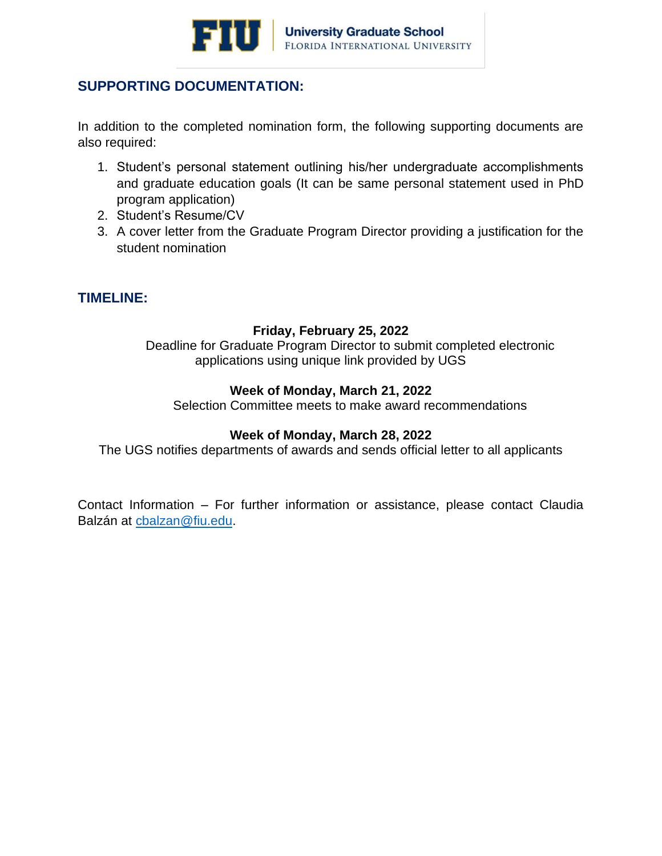

## **SUPPORTING DOCUMENTATION:**

In addition to the completed nomination form, the following supporting documents are also required:

- 1. Student's personal statement outlining his/her undergraduate accomplishments and graduate education goals (It can be same personal statement used in PhD program application)
- 2. Student's Resume/CV
- 3. A cover letter from the Graduate Program Director providing a justification for the student nomination

### **TIMELINE:**

#### **Friday, February 25, 2022**

Deadline for Graduate Program Director to submit completed electronic applications using unique link provided by UGS

#### **Week of Monday, March 21, 2022**

Selection Committee meets to make award recommendations

#### **Week of Monday, March 28, 2022**

The UGS notifies departments of awards and sends official letter to all applicants

Contact Information – For further information or assistance, please contact Claudia Balzán at [cbalzan@fiu.edu.](mailto:cbalzan@fiu.edu)